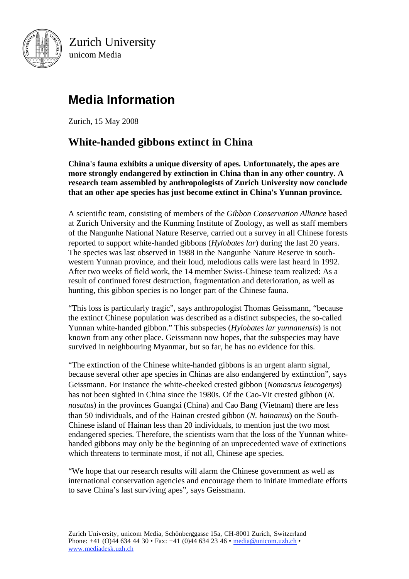

Zurich University unicom Media

# **Media Information**

Zurich, 15 May 2008

# **White-handed gibbons extinct in China**

**China's fauna exhibits a unique diversity of apes. Unfortunately, the apes are more strongly endangered by extinction in China than in any other country. A research team assembled by anthropologists of Zurich University now conclude that an other ape species has just become extinct in China's Yunnan province.**

A scientific team, consisting of members of the *Gibbon Conservation Alliance* based at Zurich University and the Kunming Institute of Zoology, as well as staff members of the Nangunhe National Nature Reserve, carried out a survey in all Chinese forests reported to support white-handed gibbons (*Hylobates lar*) during the last 20 years. The species was last observed in 1988 in the Nangunhe Nature Reserve in southwestern Yunnan province, and their loud, melodious calls were last heard in 1992. After two weeks of field work, the 14 member Swiss-Chinese team realized: As a result of continued forest destruction, fragmentation and deterioration, as well as hunting, this gibbon species is no longer part of the Chinese fauna.

"This loss is particularly tragic", says anthropologist Thomas Geissmann, "because the extinct Chinese population was described as a distinct subspecies, the so-called Yunnan white-handed gibbon." This subspecies (*Hylobates lar yunnanensis*) is not known from any other place. Geissmann now hopes, that the subspecies may have survived in neighbouring Myanmar, but so far, he has no evidence for this.

"The extinction of the Chinese white-handed gibbons is an urgent alarm signal, because several other ape species in Chinas are also endangered by extinction", says Geissmann. For instance the white-cheeked crested gibbon (*Nomascus leucogenys*) has not been sighted in China since the 1980s. Of the Cao-Vit crested gibbon (*N. nasutus*) in the provinces Guangxi (China) and Cao Bang (Vietnam) there are less than 50 individuals, and of the Hainan crested gibbon (*N. hainanus*) on the South-Chinese island of Hainan less than 20 individuals, to mention just the two most endangered species. Therefore, the scientists warn that the loss of the Yunnan whitehanded gibbons may only be the beginning of an unprecedented wave of extinctions which threatens to terminate most, if not all, Chinese ape species.

"We hope that our research results will alarm the Chinese government as well as international conservation agencies and encourage them to initiate immediate efforts to save China's last surviving apes", says Geissmann.

Zurich University, unicom Media, Schönberggasse 15a, CH-8001 Zurich, Switzerland Phone: +41 (O)44 634 44 30 • Fax: +41 (0)44 634 23 46 • media@unicom.uzh.ch • www.mediadesk.uzh.ch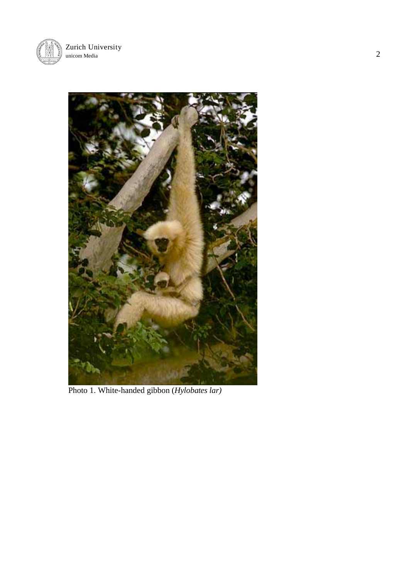



Photo 1. White-handed gibbon (*Hylobates lar)*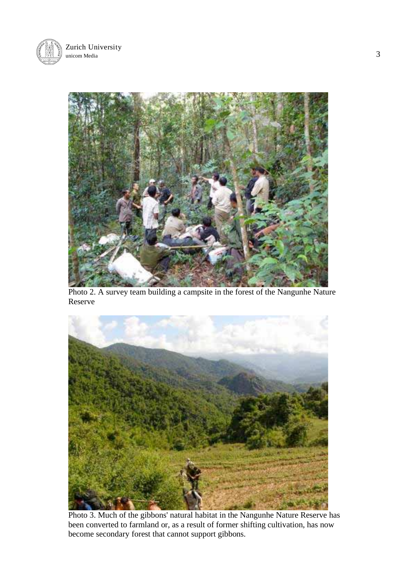



Photo 2. A survey team building a campsite in the forest of the Nangunhe Nature Reserve



Photo 3. Much of the gibbons' natural habitat in the Nangunhe Nature Reserve has been converted to farmland or, as a result of former shifting cultivation, has now become secondary forest that cannot support gibbons.